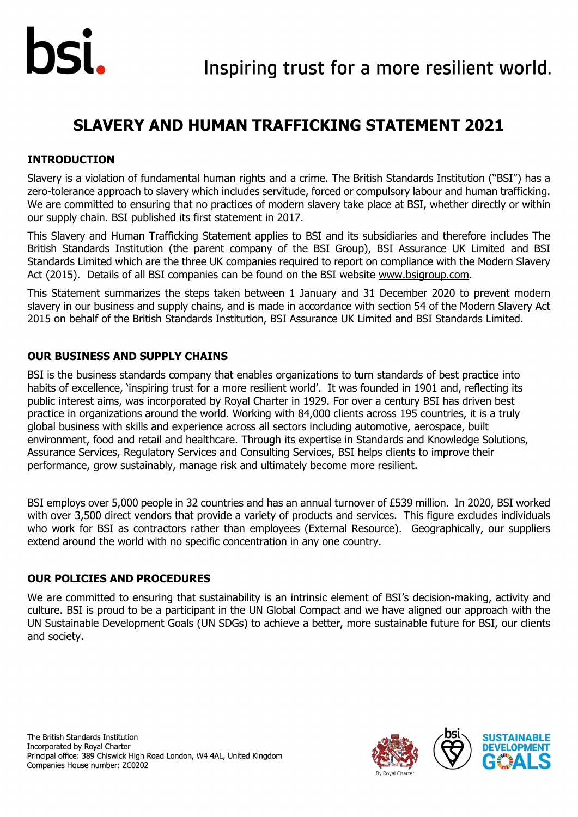## **SLAVERY AND HUMAN TRAFFICKING STATEMENT 2021**

## **INTRODUCTION**

Slavery is a violation of fundamental human rights and a crime. The British Standards Institution ("BSI") has a zero-tolerance approach to slavery which includes servitude, forced or compulsory labour and human trafficking. We are committed to ensuring that no practices of modern slavery take place at BSI, whether directly or within our supply chain. BSI published its first statement in 2017.

This Slavery and Human Trafficking Statement applies to BSI and its subsidiaries and therefore includes The British Standards Institution (the parent company of the BSI Group), BSI Assurance UK Limited and BSI Standards Limited which are the three UK companies required to report on compliance with the Modern Slavery Act (2015). Details of all BSI companies can be found on the BSI website [www.bsigroup.com.](https://www.bsigroup.com/en-GB/)

This Statement summarizes the steps taken between 1 January and 31 December 2020 to prevent modern slavery in our business and supply chains, and is made in accordance with section 54 of the Modern Slavery Act 2015 on behalf of the British Standards Institution, BSI Assurance UK Limited and BSI Standards Limited.

### **OUR BUSINESS AND SUPPLY CHAINS**

BSI is the business standards company that enables organizations to turn standards of best practice into habits of excellence, 'inspiring trust for a more resilient world'. It was founded in 1901 and, reflecting its public interest aims, was incorporated by Royal Charter in 1929. For over a century BSI has driven best practice in organizations around the world. Working with 84,000 clients across 195 countries, it is a truly global business with skills and experience across all sectors including automotive, aerospace, built environment, food and retail and healthcare. Through its expertise in Standards and Knowledge Solutions, Assurance Services, Regulatory Services and Consulting Services, BSI helps clients to improve their performance, grow sustainably, manage risk and ultimately become more resilient.

BSI employs over 5,000 people in 32 countries and has an annual turnover of £539 million. In 2020, BSI worked with over 3,500 direct vendors that provide a variety of products and services. This figure excludes individuals who work for BSI as contractors rather than employees (External Resource). Geographically, our suppliers extend around the world with no specific concentration in any one country.

## **OUR POLICIES AND PROCEDURES**

We are committed to ensuring that sustainability is an intrinsic element of BSI's decision-making, activity and culture. BSI is proud to be a participant in the UN Global Compact and we have aligned our approach with the UN Sustainable Development Goals (UN SDGs) to achieve a better, more sustainable future for BSI, our clients and society.





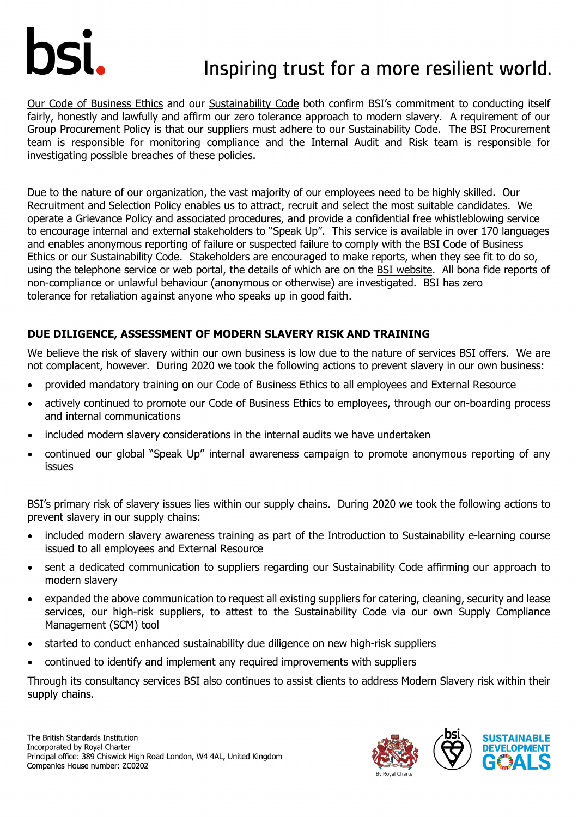# Inspiring trust for a more resilient world.

[Our Code of Business Ethics](https://www.bsigroup.com/en-GB/about-bsi/Sustainability/) and our [Sustainability Code](https://www.bsigroup.com/en-GB/about-bsi/Sustainability/) both confirm BSI's commitment to conducting itself fairly, honestly and lawfully and affirm our zero tolerance approach to modern slavery. A requirement of our Group Procurement Policy is that our suppliers must adhere to our Sustainability Code. The BSI Procurement team is responsible for monitoring compliance and the Internal Audit and Risk team is responsible for investigating possible breaches of these policies.

Due to the nature of our organization, the vast majority of our employees need to be highly skilled. Our Recruitment and Selection Policy enables us to attract, recruit and select the most suitable candidates. We operate a Grievance Policy and associated procedures, and provide a confidential free whistleblowing service to encourage internal and external stakeholders to "Speak Up". This service is available in over 170 languages and enables anonymous reporting of failure or suspected failure to comply with the BSI Code of Business Ethics or our Sustainability Code. Stakeholders are encouraged to make reports, when they see fit to do so, using the telephone service or web portal, the details of which are on the [BSI website.](https://www.bsigroup.com/en-GB/about-bsi/Sustainability/) All bona fide reports of non-compliance or unlawful behaviour (anonymous or otherwise) are investigated. BSI has zero tolerance for retaliation against anyone who speaks up in good faith.

## **DUE DILIGENCE, ASSESSMENT OF MODERN SLAVERY RISK AND TRAINING**

We believe the risk of slavery within our own business is low due to the nature of services BSI offers. We are not complacent, however. During 2020 we took the following actions to prevent slavery in our own business:

- provided mandatory training on our Code of Business Ethics to all employees and External Resource
- actively continued to promote our Code of Business Ethics to employees, through our on-boarding process and internal communications
- included modern slavery considerations in the internal audits we have undertaken
- continued our global "Speak Up" internal awareness campaign to promote anonymous reporting of any issues

BSI's primary risk of slavery issues lies within our supply chains. During 2020 we took the following actions to prevent slavery in our supply chains:

- included modern slavery awareness training as part of the Introduction to Sustainability e-learning course issued to all employees and External Resource
- sent a dedicated communication to suppliers regarding our Sustainability Code affirming our approach to modern slavery
- expanded the above communication to request all existing suppliers for catering, cleaning, security and lease services, our high-risk suppliers, to attest to the Sustainability Code via our own Supply Compliance Management (SCM) tool
- started to conduct enhanced sustainability due diligence on new high-risk suppliers
- continued to identify and implement any required improvements with suppliers

Through its consultancy services BSI also continues to assist clients to address Modern Slavery risk within their supply chains.